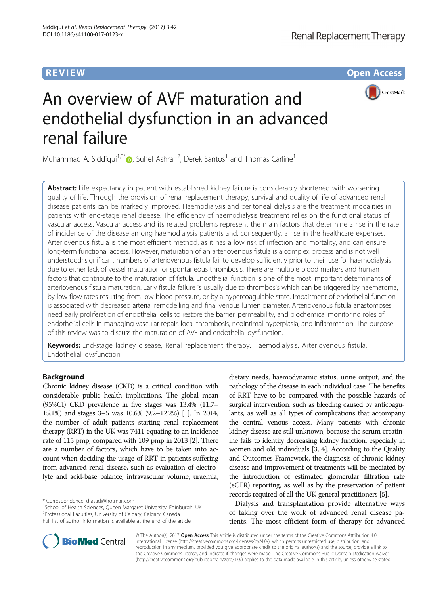**REVIEW CONSTRUCTION CONSTRUCTION CONSTRUCTS** 



# An overview of AVF maturation and endothelial dysfunction in an advanced renal failure

Muhammad A. Siddiqui<sup>1,3[\\*](http://orcid.org/0000-0003-0432-1621)</sup> <sub>(b</sub>, Suhel Ashraff<sup>2</sup>, Derek Santos<sup>1</sup> and Thomas Carline<sup>1</sup>

Abstract: Life expectancy in patient with established kidney failure is considerably shortened with worsening quality of life. Through the provision of renal replacement therapy, survival and quality of life of advanced renal disease patients can be markedly improved. Haemodialysis and peritoneal dialysis are the treatment modalities in patients with end-stage renal disease. The efficiency of haemodialysis treatment relies on the functional status of vascular access. Vascular access and its related problems represent the main factors that determine a rise in the rate of incidence of the disease among haemodialysis patients and, consequently, a rise in the healthcare expenses. Arteriovenous fistula is the most efficient method, as it has a low risk of infection and mortality, and can ensure long-term functional access. However, maturation of an arteriovenous fistula is a complex process and is not well understood; significant numbers of arteriovenous fistula fail to develop sufficiently prior to their use for haemodialysis due to either lack of vessel maturation or spontaneous thrombosis. There are multiple blood markers and human factors that contribute to the maturation of fistula. Endothelial function is one of the most important determinants of arteriovenous fistula maturation. Early fistula failure is usually due to thrombosis which can be triggered by haematoma, by low flow rates resulting from low blood pressure, or by a hypercoagulable state. Impairment of endothelial function is associated with decreased arterial remodelling and final venous lumen diameter. Arteriovenous fistula anastomoses need early proliferation of endothelial cells to restore the barrier, permeability, and biochemical monitoring roles of endothelial cells in managing vascular repair, local thrombosis, neointimal hyperplasia, and inflammation. The purpose of this review was to discuss the maturation of AVF and endothelial dysfunction.

Keywords: End-stage kidney disease, Renal replacement therapy, Haemodialysis, Arteriovenous fistula, Endothelial dysfunction

# Background

Chronic kidney disease (CKD) is a critical condition with considerable public health implications. The global mean (95%CI) CKD prevalence in five stages was 13.4% (11.7– 15.1%) and stages 3–5 was 10.6% (9.2–12.2%) [\[1](#page-4-0)]. In 2014, the number of adult patients starting renal replacement therapy (RRT) in the UK was 7411 equating to an incidence rate of 115 pmp, compared with 109 pmp in 2013 [\[2\]](#page-4-0). There are a number of factors, which have to be taken into account when deciding the usage of RRT in patients suffering from advanced renal disease, such as evaluation of electrolyte and acid-base balance, intravascular volume, uraemia,

\* Correspondence: [drasadi@hotmail.com](mailto:drasadi@hotmail.com) <sup>1</sup>

<sup>1</sup>School of Health Sciences, Queen Margaret University, Edinburgh, UK <sup>3</sup>Professional Faculties, University of Calgary, Calgary, Canada Full list of author information is available at the end of the article

dietary needs, haemodynamic status, urine output, and the pathology of the disease in each individual case. The benefits of RRT have to be compared with the possible hazards of surgical intervention, such as bleeding caused by anticoagulants, as well as all types of complications that accompany the central venous access. Many patients with chronic kidney disease are still unknown, because the serum creatinine fails to identify decreasing kidney function, especially in women and old individuals [\[3](#page-4-0), [4\]](#page-4-0). According to the Quality and Outcomes Framework, the diagnosis of chronic kidney disease and improvement of treatments will be mediated by the introduction of estimated glomerular filtration rate (eGFR) reporting, as well as by the preservation of patient records required of all the UK general practitioners [[5](#page-4-0)].

Dialysis and transplantation provide alternative ways of taking over the work of advanced renal disease patients. The most efficient form of therapy for advanced



© The Author(s). 2017 **Open Access** This article is distributed under the terms of the Creative Commons Attribution 4.0 International License [\(http://creativecommons.org/licenses/by/4.0/](http://creativecommons.org/licenses/by/4.0/)), which permits unrestricted use, distribution, and reproduction in any medium, provided you give appropriate credit to the original author(s) and the source, provide a link to the Creative Commons license, and indicate if changes were made. The Creative Commons Public Domain Dedication waiver [\(http://creativecommons.org/publicdomain/zero/1.0/](http://creativecommons.org/publicdomain/zero/1.0/)) applies to the data made available in this article, unless otherwise stated.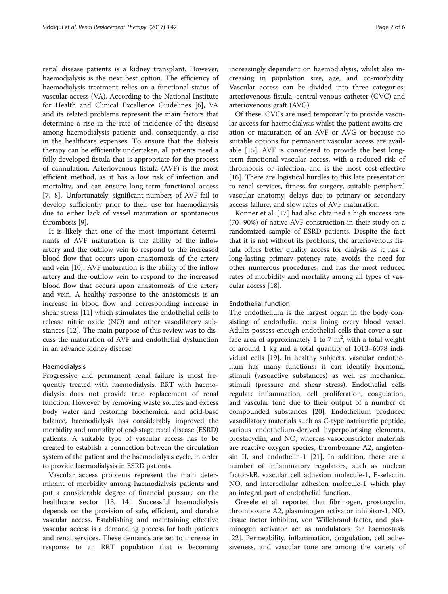renal disease patients is a kidney transplant. However, haemodialysis is the next best option. The efficiency of haemodialysis treatment relies on a functional status of vascular access (VA). According to the National Institute for Health and Clinical Excellence Guidelines [[6\]](#page-4-0), VA and its related problems represent the main factors that determine a rise in the rate of incidence of the disease among haemodialysis patients and, consequently, a rise in the healthcare expenses. To ensure that the dialysis therapy can be efficiently undertaken, all patients need a fully developed fistula that is appropriate for the process of cannulation. Arteriovenous fistula (AVF) is the most efficient method, as it has a low risk of infection and mortality, and can ensure long-term functional access [[7, 8](#page-4-0)]. Unfortunately, significant numbers of AVF fail to develop sufficiently prior to their use for haemodialysis due to either lack of vessel maturation or spontaneous thrombosis [\[9](#page-4-0)].

It is likely that one of the most important determinants of AVF maturation is the ability of the inflow artery and the outflow vein to respond to the increased blood flow that occurs upon anastomosis of the artery and vein [[10\]](#page-4-0). AVF maturation is the ability of the inflow artery and the outflow vein to respond to the increased blood flow that occurs upon anastomosis of the artery and vein. A healthy response to the anastomosis is an increase in blood flow and corresponding increase in shear stress [[11\]](#page-4-0) which stimulates the endothelial cells to release nitric oxide (NO) and other vasodilatory substances [\[12\]](#page-4-0). The main purpose of this review was to discuss the maturation of AVF and endothelial dysfunction in an advance kidney disease.

# Haemodialysis

Progressive and permanent renal failure is most frequently treated with haemodialysis. RRT with haemodialysis does not provide true replacement of renal function. However, by removing waste solutes and excess body water and restoring biochemical and acid-base balance, haemodialysis has considerably improved the morbidity and mortality of end-stage renal disease (ESRD) patients. A suitable type of vascular access has to be created to establish a connection between the circulation system of the patient and the haemodialysis cycle, in order to provide haemodialysis in ESRD patients.

Vascular access problems represent the main determinant of morbidity among haemodialysis patients and put a considerable degree of financial pressure on the healthcare sector [[13, 14](#page-4-0)]. Successful haemodialysis depends on the provision of safe, efficient, and durable vascular access. Establishing and maintaining effective vascular access is a demanding process for both patients and renal services. These demands are set to increase in response to an RRT population that is becoming increasingly dependent on haemodialysis, whilst also increasing in population size, age, and co-morbidity. Vascular access can be divided into three categories: arteriovenous fistula, central venous catheter (CVC) and arteriovenous graft (AVG).

Of these, CVCs are used temporarily to provide vascular access for haemodialysis whilst the patient awaits creation or maturation of an AVF or AVG or because no suitable options for permanent vascular access are available [[15\]](#page-4-0). AVF is considered to provide the best longterm functional vascular access, with a reduced risk of thrombosis or infection, and is the most cost-effective [[16\]](#page-5-0). There are logistical hurdles to this late presentation to renal services, fitness for surgery, suitable peripheral vascular anatomy, delays due to primary or secondary access failure, and slow rates of AVF maturation.

Konner et al. [[17](#page-5-0)] had also obtained a high success rate (70–90%) of native AVF construction in their study on a randomized sample of ESRD patients. Despite the fact that it is not without its problems, the arteriovenous fistula offers better quality access for dialysis as it has a long-lasting primary patency rate, avoids the need for other numerous procedures, and has the most reduced rates of morbidity and mortality among all types of vascular access [\[18](#page-5-0)].

# Endothelial function

The endothelium is the largest organ in the body consisting of endothelial cells lining every blood vessel. Adults possess enough endothelial cells that cover a surface area of approximately 1 to 7  $m^2$ , with a total weight of around 1 kg and a total quantity of 1013–6078 individual cells [[19\]](#page-5-0). In healthy subjects, vascular endothelium has many functions: it can identify hormonal stimuli (vasoactive substances) as well as mechanical stimuli (pressure and shear stress). Endothelial cells regulate inflammation, cell proliferation, coagulation, and vascular tone due to their output of a number of compounded substances [[20](#page-5-0)]. Endothelium produced vasodilatory materials such as C-type natriuretic peptide, various endothelium-derived hyperpolarising elements, prostacyclin, and NO, whereas vasoconstrictor materials are reactive oxygen species, thromboxane A2, angiotensin II, and endothelin-1 [[21\]](#page-5-0). In addition, there are a number of inflammatory regulators, such as nuclear factor-kB, vascular cell adhesion molecule-1, E-selectin, NO, and intercellular adhesion molecule-1 which play an integral part of endothelial function.

Gresele et al. reported that fibrinogen, prostacyclin, thromboxane A2, plasminogen activator inhibitor-1, NO, tissue factor inhibitor, von Willebrand factor, and plasminogen activator act as modulators for haemostasis [[22\]](#page-5-0). Permeability, inflammation, coagulation, cell adhesiveness, and vascular tone are among the variety of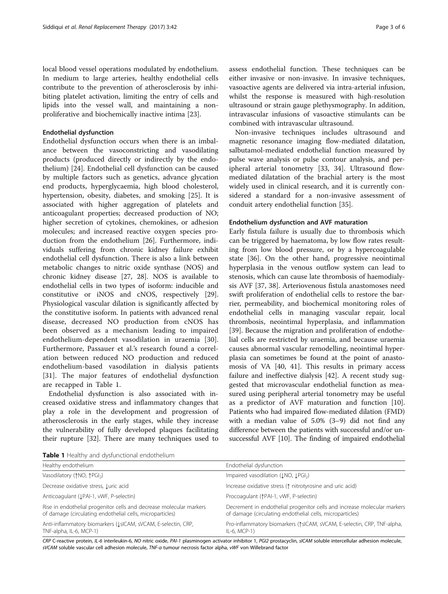local blood vessel operations modulated by endothelium. In medium to large arteries, healthy endothelial cells contribute to the prevention of atherosclerosis by inhibiting platelet activation, limiting the entry of cells and lipids into the vessel wall, and maintaining a nonproliferative and biochemically inactive intima [\[23](#page-5-0)].

# Endothelial dysfunction

Endothelial dysfunction occurs when there is an imbalance between the vasoconstricting and vasodilating products (produced directly or indirectly by the endothelium) [[24](#page-5-0)]. Endothelial cell dysfunction can be caused by multiple factors such as genetics, advance glycation end products, hyperglycaemia, high blood cholesterol, hypertension, obesity, diabetes, and smoking [\[25](#page-5-0)]. It is associated with higher aggregation of platelets and anticoagulant properties; decreased production of NO; higher secretion of cytokines, chemokines, or adhesion molecules; and increased reactive oxygen species production from the endothelium [\[26\]](#page-5-0). Furthermore, individuals suffering from chronic kidney failure exhibit endothelial cell dysfunction. There is also a link between metabolic changes to nitric oxide synthase (NOS) and chronic kidney disease [\[27, 28\]](#page-5-0). NOS is available to endothelial cells in two types of isoform: inducible and constitutive or iNOS and cNOS, respectively [\[29](#page-5-0)]. Physiological vascular dilation is significantly affected by the constitutive isoform. In patients with advanced renal disease, decreased NO production from cNOS has been observed as a mechanism leading to impaired endothelium-dependent vasodilation in uraemia [\[30](#page-5-0)]. Furthermore, Passauer et al.'s research found a correlation between reduced NO production and reduced endothelium-based vasodilation in dialysis patients [[31\]](#page-5-0). The major features of endothelial dysfunction are recapped in Table 1.

Endothelial dysfunction is also associated with increased oxidative stress and inflammatory changes that play a role in the development and progression of atherosclerosis in the early stages, while they increase the vulnerability of fully developed plaques facilitating their rupture [[32](#page-5-0)]. There are many techniques used to assess endothelial function. These techniques can be either invasive or non-invasive. In invasive techniques, vasoactive agents are delivered via intra-arterial infusion, whilst the response is measured with high-resolution ultrasound or strain gauge plethysmography. In addition, intravascular infusions of vasoactive stimulants can be combined with intravascular ultrasound.

Non-invasive techniques includes ultrasound and magnetic resonance imaging flow-mediated dilatation, salbutamol-mediated endothelial function measured by pulse wave analysis or pulse contour analysis, and peripheral arterial tonometry [\[33, 34\]](#page-5-0). Ultrasound flowmediated dilatation of the brachial artery is the most widely used in clinical research, and it is currently considered a standard for a non-invasive assessment of conduit artery endothelial function [[35\]](#page-5-0).

# Endothelium dysfunction and AVF maturation

Early fistula failure is usually due to thrombosis which can be triggered by haematoma, by low flow rates resulting from low blood pressure, or by a hypercoagulable state [\[36\]](#page-5-0). On the other hand, progressive neointimal hyperplasia in the venous outflow system can lead to stenosis, which can cause late thrombosis of haemodialysis AVF [\[37](#page-5-0), [38](#page-5-0)]. Arteriovenous fistula anastomoses need swift proliferation of endothelial cells to restore the barrier, permeability, and biochemical monitoring roles of endothelial cells in managing vascular repair, local thrombosis, neointimal hyperplasia, and inflammation [[39\]](#page-5-0). Because the migration and proliferation of endothelial cells are restricted by uraemia, and because uraemia causes abnormal vascular remodelling, neointimal hyperplasia can sometimes be found at the point of anastomosis of VA [[40](#page-5-0), [41\]](#page-5-0). This results in primary access failure and ineffective dialysis [[42](#page-5-0)]. A recent study suggested that microvascular endothelial function as measured using peripheral arterial tonometry may be useful as a predictor of AVF maturation and function [\[10](#page-4-0)]. Patients who had impaired flow-mediated dilation (FMD) with a median value of 5.0% (3–9) did not find any difference between the patients with successful and/or unsuccessful AVF [\[10\]](#page-4-0). The finding of impaired endothelial

| Table 1 Healthy and dysfunctional endothelium |  |
|-----------------------------------------------|--|
|-----------------------------------------------|--|

| Healthy endothelium                                                                                                              | Endothelial dysfunction                                                                                                               |  |
|----------------------------------------------------------------------------------------------------------------------------------|---------------------------------------------------------------------------------------------------------------------------------------|--|
| Vasodilatory (1NO, 1PGI <sub>2</sub> )                                                                                           | Impaired vasodilation (LNO, LPGI <sub>2</sub> )                                                                                       |  |
| Decrease oxidative stress, Luric acid                                                                                            | Increase oxidative stress ( $\uparrow$ nitrotyrosine and uric acid)                                                                   |  |
| Anticoagulant (JPAI-1, vWF, P-selectin)                                                                                          | Procoagulant (1PAI-1, vWF, P-selectin)                                                                                                |  |
| Rise in endothelial progenitor cells and decrease molecular markers<br>of damage (circulating endothelial cells, microparticles) | Decrement in endothelial progenitor cells and increase molecular markers<br>of damage (circulating endothelial cells, microparticles) |  |
| Anti-inflammatory biomarkers (LsICAM, sVCAM, E-selectin, CRP,<br>TNF-alpha, IL-6, MCP-1)                                         | Pro-inflammatory biomarkers (1sICAM, sVCAM, E-selectin, CRP, TNF-alpha,<br>IL-6, $MCP-1$ )                                            |  |

CRP C-reactive protein, IL-6 interleukin-6, NO nitric oxide, PAI-1 plasminogen activator inhibitor 1, PGI2 prostacyclin, sICAM soluble intercellular adhesion molecule, sVCAM soluble vascular cell adhesion molecule, TNF-α tumour necrosis factor alpha, vWF von Willebrand factor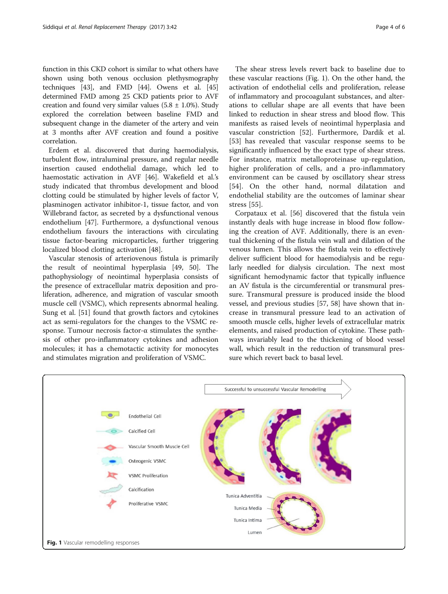function in this CKD cohort is similar to what others have shown using both venous occlusion plethysmography techniques [\[43](#page-5-0)], and FMD [\[44](#page-5-0)]. Owens et al. [[45](#page-5-0)] determined FMD among 25 CKD patients prior to AVF creation and found very similar values (5.8  $\pm$  1.0%). Study explored the correlation between baseline FMD and subsequent change in the diameter of the artery and vein at 3 months after AVF creation and found a positive correlation.

Erdem et al. discovered that during haemodialysis, turbulent flow, intraluminal pressure, and regular needle insertion caused endothelial damage, which led to haemostatic activation in AVF [\[46\]](#page-5-0). Wakefield et al.'s study indicated that thrombus development and blood clotting could be stimulated by higher levels of factor V, plasminogen activator inhibitor-1, tissue factor, and von Willebrand factor, as secreted by a dysfunctional venous endothelium [[47\]](#page-5-0). Furthermore, a dysfunctional venous endothelium favours the interactions with circulating tissue factor-bearing microparticles, further triggering localized blood clotting activation [[48\]](#page-5-0).

Vascular stenosis of arteriovenous fistula is primarily the result of neointimal hyperplasia [[49, 50](#page-5-0)]. The pathophysiology of neointimal hyperplasia consists of the presence of extracellular matrix deposition and proliferation, adherence, and migration of vascular smooth muscle cell (VSMC), which represents abnormal healing. Sung et al. [\[51](#page-5-0)] found that growth factors and cytokines act as semi-regulators for the changes to the VSMC response. Tumour necrosis factor-α stimulates the synthesis of other pro-inflammatory cytokines and adhesion molecules; it has a chemotactic activity for monocytes and stimulates migration and proliferation of VSMC.

The shear stress levels revert back to baseline due to these vascular reactions (Fig. 1). On the other hand, the activation of endothelial cells and proliferation, release of inflammatory and procoagulant substances, and alterations to cellular shape are all events that have been linked to reduction in shear stress and blood flow. This manifests as raised levels of neointimal hyperplasia and vascular constriction [\[52](#page-5-0)]. Furthermore, Dardik et al. [[53\]](#page-5-0) has revealed that vascular response seems to be significantly influenced by the exact type of shear stress. For instance, matrix metalloproteinase up-regulation, higher proliferation of cells, and a pro-inflammatory environment can be caused by oscillatory shear stress [[54\]](#page-5-0). On the other hand, normal dilatation and endothelial stability are the outcomes of laminar shear stress [[55](#page-5-0)].

Corpataux et al. [\[56\]](#page-5-0) discovered that the fistula vein instantly deals with huge increase in blood flow following the creation of AVF. Additionally, there is an eventual thickening of the fistula vein wall and dilation of the venous lumen. This allows the fistula vein to effectively deliver sufficient blood for haemodialysis and be regularly needled for dialysis circulation. The next most significant hemodynamic factor that typically influence an AV fistula is the circumferential or transmural pressure. Transmural pressure is produced inside the blood vessel, and previous studies [[57](#page-5-0), [58\]](#page-5-0) have shown that increase in transmural pressure lead to an activation of smooth muscle cells, higher levels of extracellular matrix elements, and raised production of cytokine. These pathways invariably lead to the thickening of blood vessel wall, which result in the reduction of transmural pressure which revert back to basal level.

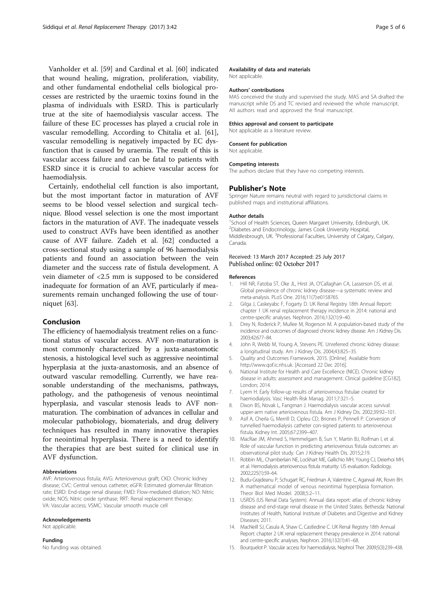<span id="page-4-0"></span>Vanholder et al. [\[59\]](#page-5-0) and Cardinal et al. [[60\]](#page-5-0) indicated that wound healing, migration, proliferation, viability, and other fundamental endothelial cells biological processes are restricted by the uraemic toxins found in the plasma of individuals with ESRD. This is particularly true at the site of haemodialysis vascular access. The failure of these EC processes has played a crucial role in vascular remodelling. According to Chitalia et al. [\[61](#page-5-0)], vascular remodelling is negatively impacted by EC dysfunction that is caused by uraemia. The result of this is vascular access failure and can be fatal to patients with ESRD since it is crucial to achieve vascular access for haemodialysis.

Certainly, endothelial cell function is also important, but the most important factor in maturation of AVF seems to be blood vessel selection and surgical technique. Blood vessel selection is one the most important factors in the maturation of AVF. The inadequate vessels used to construct AVFs have been identified as another cause of AVF failure. Zadeh et al. [[62\]](#page-5-0) conducted a cross-sectional study using a sample of 96 haemodialysis patients and found an association between the vein diameter and the success rate of fistula development. A vein diameter of <2.5 mm is supposed to be considered inadequate for formation of an AVF, particularly if measurements remain unchanged following the use of tourniquet [[63\]](#page-5-0).

# Conclusion

The efficiency of haemodialysis treatment relies on a functional status of vascular access. AVF non-maturation is most commonly characterized by a juxta-anastomotic stenosis, a histological level such as aggressive neointimal hyperplasia at the juxta-anastomosis, and an absence of outward vascular remodelling. Currently, we have reasonable understanding of the mechanisms, pathways, pathology, and the pathogenesis of venous neointimal hyperplasia, and vascular stenosis leads to AVF nonmaturation. The combination of advances in cellular and molecular pathobiology, biomaterials, and drug delivery techniques has resulted in many innovative therapies for neointimal hyperplasia. There is a need to identify the therapies that are best suited for clinical use in AVF dysfunction.

#### Abbreviations

AVF: Arteriovenous fistula; AVG: Arteriovenous graft; CKD: Chronic kidney disease; CVC: Central venous catheter; eGFR: Estimated glomerular filtration rate; ESRD: End-stage renal disease; FMD: Flow-mediated dilation; NO: Nitric oxide; NOS: Nitric oxide synthase; RRT: Renal replacement therapy; VA: Vascular access; VSMC: Vascular smooth muscle cell

#### Acknowledgements

Not applicable.

#### Funding

No funding was obtained.

#### Availability of data and materials

Not applicable.

#### Authors' contributions

MAS conceived the study and supervised the study. MAS and SA drafted the manuscript while DS and TC revised and reviewed the whole manuscript. All authors read and approved the final manuscript.

# Ethics approval and consent to participate

Not applicable as a literature review.

#### Consent for publication

Not applicable.

#### Competing interests

The authors declare that they have no competing interests.

# Publisher's Note

Springer Nature remains neutral with regard to jurisdictional claims in published maps and institutional affiliations.

### Author details

<sup>1</sup>School of Health Sciences, Queen Margaret University, Edinburgh, UK 2 Diabetes and Endocrinology, James Cook University Hospital, Middlesbrough, UK. <sup>3</sup>Professional Faculties, University of Calgary, Calgary, Canada.

## Received: 13 March 2017 Accepted: 25 July 2017 Published online: 02 October 2017

#### References

- 1. Hill NR, Fatoba ST, Oke JL, Hirst JA, O'Callaghan CA, Lasserson DS, et al. Global prevalence of chronic kidney disease—a systematic review and meta-analysis. PLoS One. 2016;11(7):e0158765.
- 2. Gilga J, Caskeyabc F, Fogarty D. UK Renal Registry 18th Annual Report: chapter 1 UK renal replacement therapy incidence in 2014: national and centre-specific analyses. Nephron. 2016;132(1):9–40.
- 3. Drey N, Roderick P, Mullee M, Rogerson M. A population-based study of the incidence and outcomes of diagnosed chronic kidney disease. Am J Kidney Dis. 2003;42:677–84.
- 4. John R, Webb M, Young A, Stevens PE. Unreferred chronic kidney disease: a longitudinal study. Am J Kidney Dis. 2004;43:825–35.
- 5. Quality and Outcomes Framework. 2015. [Online]. Available from: [http://www.qof.ic.nhs.uk.](http://www.qof.ic.nhs.uk) [Accessed 22 Dec 2016].
- 6. National Institute for Health and Care Excellence (NICE). Chronic kidney disease in adults: assessment and management. Clinical guideline [CG182]. London; 2014.
- 7. Lyem H. Early follow-up results of arteriovenous fistulae created for haemodialysis. Vasc Health Risk Manag. 2011;7:321–5.
- 8. Dixon BS, Novak L, Fangman J. Haemodialysis vascular access survival: upper-arm native arteriovenous fistula. Am J Kidney Dis. 2002;39:92–101.
- 9. Asif A, Cherla G, Merrill D, Cipleu CD, Briones P, Pennell P. Conversion of tunnelled haemodialysis catheter con-signed patients to arteriovenous fistula. Kidney Int. 2005;67:2399–407.
- 10. MacRae JM, Ahmed S, Hemmelgarn B, Sun Y, Martin BJ, Roifman I, et al. Role of vascular function in predicting arteriovenous fistula outcomes: an observational pilot study. Can J Kidney Health Dis. 2015;2:19.
- 11. Robbin ML, Chamberlain NE, Lockhart ME, Gallichio MH, Young CJ, Deierhoi MH, et al. Hemodialysis arteriovenous fistula maturity: US evaluation. Radiology. 2002;225(1):59–64.
- 12. Budu-Grajdeanu P, Schugart RC, Friedman A, Valentine C, Agarwal AK, Rovin BH. A mathematical model of venous neointimal hyperplasia formation. Theor Biol Med Model. 2008;5:2–11.
- 13. USRDS (US Renal Data System). Annual data report: atlas of chronic kidney disease and end-stage renal disease in the United States. Bethesda: National Institutes of Health, National Institute of Diabetes and Digestive and Kidney Diseases; 2011.
- 14. MacNeill SJ, Casula A, Shaw C, Castledine C. UK Renal Registry 18th Annual Report: chapter 2 UK renal replacement therapy prevalence in 2014: national and centre-specific analyses. Nephron. 2016;132(1):41–68.
- 15. Bourquelot P. Vascular access for haemodialysis. Nephrol Ther. 2009;5(3):239–438.